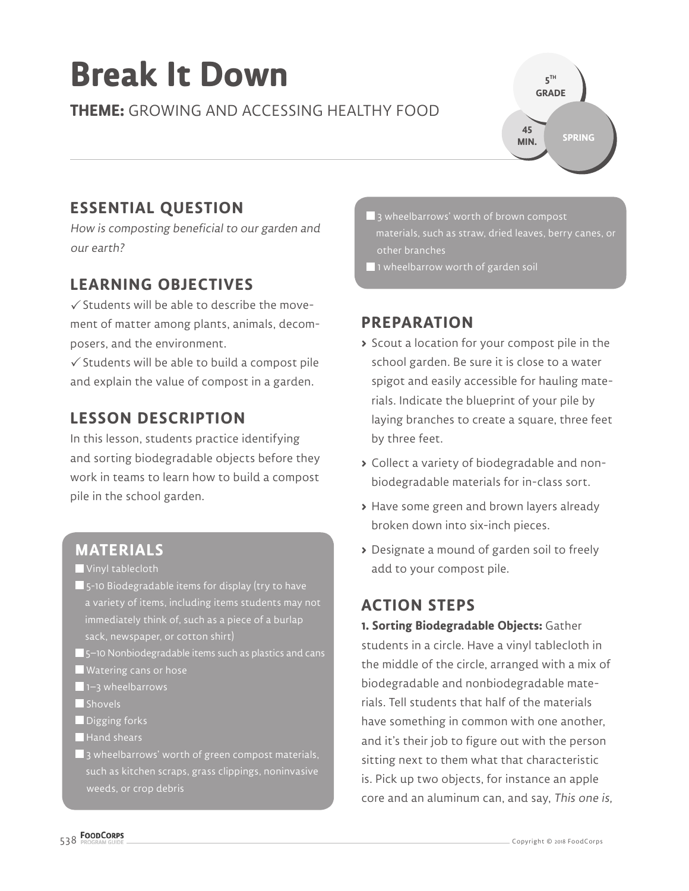# **Break It Down**

**THEME:** GROWING AND ACCESSING HEALTHY FOOD

**ESSENTIAL QUESTION**

How is composting beneficial to our garden and our earth?

# **LEARNING OBJECTIVES**

 $\checkmark$  Students will be able to describe the movement of matter among plants, animals, decomposers, and the environment.

 $\checkmark$  Students will be able to build a compost pile and explain the value of compost in a garden.

# **LESSON DESCRIPTION**

In this lesson, students practice identifying and sorting biodegradable objects before they work in teams to learn how to build a compost pile in the school garden.

#### **MATERIALS**

Vinyl tablecloth

- 5-10 Biodegradable items for display (try to have a variety of items, including items students may not immediately think of, such as a piece of a burlap sack, newspaper, or cotton shirt)
- 5–10 Nonbiodegradable items such as plastics and cans
- Watering cans or hose
- 1–3 wheelbarrows
- Shovels
- Digging forks
- Hand shears
- 3 wheelbarrows' worth of green compost materials, such as kitchen scraps, grass clippings, noninvasive

3 wheelbarrows' worth of brown compost other branches

**5 TH GRADE** 

**45 MIN.**

**SPRING**

 $\blacksquare$  1 wheelbarrow worth of garden soil

#### **PREPARATION**

- **>** Scout a location for your compost pile in the school garden. Be sure it is close to a water spigot and easily accessible for hauling materials. Indicate the blueprint of your pile by laying branches to create a square, three feet by three feet.
- **>** Collect a variety of biodegradable and nonbiodegradable materials for in-class sort.
- **>** Have some green and brown layers already broken down into six-inch pieces.
- **>** Designate a mound of garden soil to freely add to your compost pile.

### **ACTION STEPS**

**1. Sorting Biodegradable Objects:** Gather students in a circle. Have a vinyl tablecloth in the middle of the circle, arranged with a mix of biodegradable and nonbiodegradable materials. Tell students that half of the materials have something in common with one another, and it's their job to figure out with the person sitting next to them what that characteristic is. Pick up two objects, for instance an apple core and an aluminum can, and say, This one is,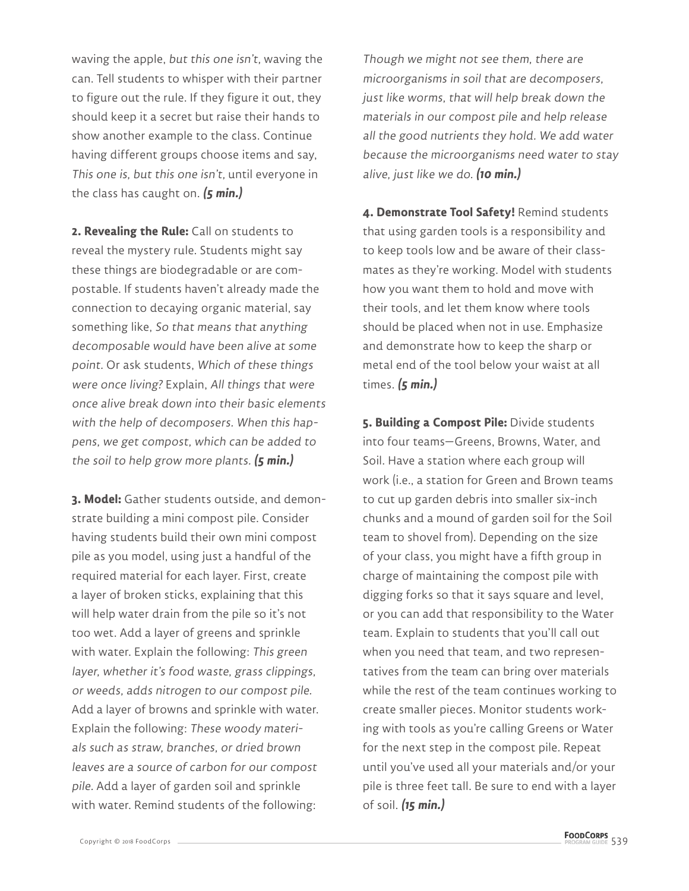waving the apple, but this one isn't, waving the can. Tell students to whisper with their partner to figure out the rule. If they figure it out, they should keep it a secret but raise their hands to show another example to the class. Continue having different groups choose items and say, This one is, but this one isn't, until everyone in the class has caught on. **(5 min.)**

**2. Revealing the Rule:** Call on students to reveal the mystery rule. Students might say these things are biodegradable or are compostable. If students haven't already made the connection to decaying organic material, say something like, So that means that anything decomposable would have been alive at some point. Or ask students, Which of these things were once living? Explain, All things that were once alive break down into their basic elements with the help of decomposers. When this happens, we get compost, which can be added to the soil to help grow more plants. **(5 min.)**

**3. Model:** Gather students outside, and demonstrate building a mini compost pile. Consider having students build their own mini compost pile as you model, using just a handful of the required material for each layer. First, create a layer of broken sticks, explaining that this will help water drain from the pile so it's not too wet. Add a layer of greens and sprinkle with water. Explain the following: This green layer, whether it's food waste, grass clippings, or weeds, adds nitrogen to our compost pile. Add a layer of browns and sprinkle with water. Explain the following: These woody materials such as straw, branches, or dried brown leaves are a source of carbon for our compost pile. Add a layer of garden soil and sprinkle with water. Remind students of the following:

Though we might not see them, there are microorganisms in soil that are decomposers, just like worms, that will help break down the materials in our compost pile and help release all the good nutrients they hold. We add water because the microorganisms need water to stay alive, just like we do. **(10 min.)**

**4. Demonstrate Tool Safety!** Remind students that using garden tools is a responsibility and to keep tools low and be aware of their classmates as they're working. Model with students how you want them to hold and move with their tools, and let them know where tools should be placed when not in use. Emphasize and demonstrate how to keep the sharp or metal end of the tool below your waist at all times. **(5 min.)**

**5. Building a Compost Pile:** Divide students into four teams—Greens, Browns, Water, and Soil. Have a station where each group will work (i.e., a station for Green and Brown teams to cut up garden debris into smaller six-inch chunks and a mound of garden soil for the Soil team to shovel from). Depending on the size of your class, you might have a fifth group in charge of maintaining the compost pile with digging forks so that it says square and level, or you can add that responsibility to the Water team. Explain to students that you'll call out when you need that team, and two representatives from the team can bring over materials while the rest of the team continues working to create smaller pieces. Monitor students working with tools as you're calling Greens or Water for the next step in the compost pile. Repeat until you've used all your materials and/or your pile is three feet tall. Be sure to end with a layer of soil. **(15 min.)**